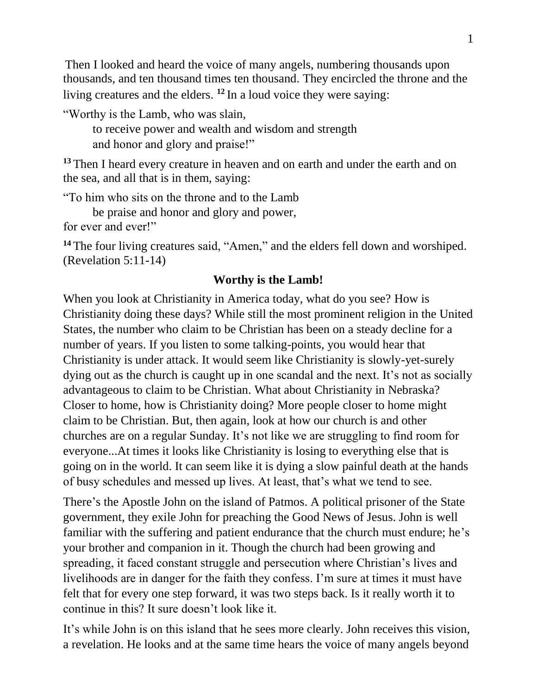Then I looked and heard the voice of many angels, numbering thousands upon thousands, and ten thousand times ten thousand. They encircled the throne and the living creatures and the elders. **<sup>12</sup>** In a loud voice they were saying:

"Worthy is the Lamb, who was slain,

 to receive power and wealth and wisdom and strength and honor and glory and praise!"

**<sup>13</sup>** Then I heard every creature in heaven and on earth and under the earth and on the sea, and all that is in them, saying:

"To him who sits on the throne and to the Lamb

be praise and honor and glory and power,

for ever and ever!"

**<sup>14</sup>** The four living creatures said, "Amen," and the elders fell down and worshiped. (Revelation 5:11-14)

## **Worthy is the Lamb!**

When you look at Christianity in America today, what do you see? How is Christianity doing these days? While still the most prominent religion in the United States, the number who claim to be Christian has been on a steady decline for a number of years. If you listen to some talking-points, you would hear that Christianity is under attack. It would seem like Christianity is slowly-yet-surely dying out as the church is caught up in one scandal and the next. It's not as socially advantageous to claim to be Christian. What about Christianity in Nebraska? Closer to home, how is Christianity doing? More people closer to home might claim to be Christian. But, then again, look at how our church is and other churches are on a regular Sunday. It's not like we are struggling to find room for everyone...At times it looks like Christianity is losing to everything else that is going on in the world. It can seem like it is dying a slow painful death at the hands of busy schedules and messed up lives. At least, that's what we tend to see.

There's the Apostle John on the island of Patmos. A political prisoner of the State government, they exile John for preaching the Good News of Jesus. John is well familiar with the suffering and patient endurance that the church must endure; he's your brother and companion in it. Though the church had been growing and spreading, it faced constant struggle and persecution where Christian's lives and livelihoods are in danger for the faith they confess. I'm sure at times it must have felt that for every one step forward, it was two steps back. Is it really worth it to continue in this? It sure doesn't look like it.

It's while John is on this island that he sees more clearly. John receives this vision, a revelation. He looks and at the same time hears the voice of many angels beyond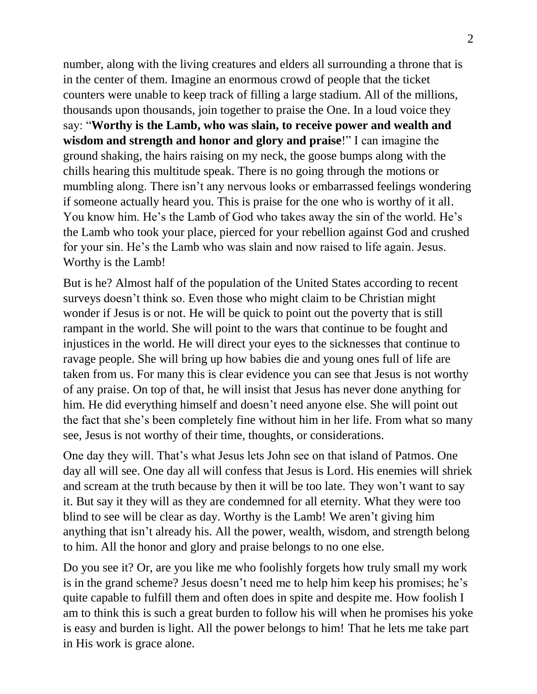number, along with the living creatures and elders all surrounding a throne that is in the center of them. Imagine an enormous crowd of people that the ticket counters were unable to keep track of filling a large stadium. All of the millions, thousands upon thousands, join together to praise the One. In a loud voice they say: "**Worthy is the Lamb, who was slain, to receive power and wealth and wisdom and strength and honor and glory and praise**!" I can imagine the ground shaking, the hairs raising on my neck, the goose bumps along with the chills hearing this multitude speak. There is no going through the motions or mumbling along. There isn't any nervous looks or embarrassed feelings wondering if someone actually heard you. This is praise for the one who is worthy of it all. You know him. He's the Lamb of God who takes away the sin of the world. He's the Lamb who took your place, pierced for your rebellion against God and crushed for your sin. He's the Lamb who was slain and now raised to life again. Jesus. Worthy is the Lamb!

But is he? Almost half of the population of the United States according to recent surveys doesn't think so. Even those who might claim to be Christian might wonder if Jesus is or not. He will be quick to point out the poverty that is still rampant in the world. She will point to the wars that continue to be fought and injustices in the world. He will direct your eyes to the sicknesses that continue to ravage people. She will bring up how babies die and young ones full of life are taken from us. For many this is clear evidence you can see that Jesus is not worthy of any praise. On top of that, he will insist that Jesus has never done anything for him. He did everything himself and doesn't need anyone else. She will point out the fact that she's been completely fine without him in her life. From what so many see, Jesus is not worthy of their time, thoughts, or considerations.

One day they will. That's what Jesus lets John see on that island of Patmos. One day all will see. One day all will confess that Jesus is Lord. His enemies will shriek and scream at the truth because by then it will be too late. They won't want to say it. But say it they will as they are condemned for all eternity. What they were too blind to see will be clear as day. Worthy is the Lamb! We aren't giving him anything that isn't already his. All the power, wealth, wisdom, and strength belong to him. All the honor and glory and praise belongs to no one else.

Do you see it? Or, are you like me who foolishly forgets how truly small my work is in the grand scheme? Jesus doesn't need me to help him keep his promises; he's quite capable to fulfill them and often does in spite and despite me. How foolish I am to think this is such a great burden to follow his will when he promises his yoke is easy and burden is light. All the power belongs to him! That he lets me take part in His work is grace alone.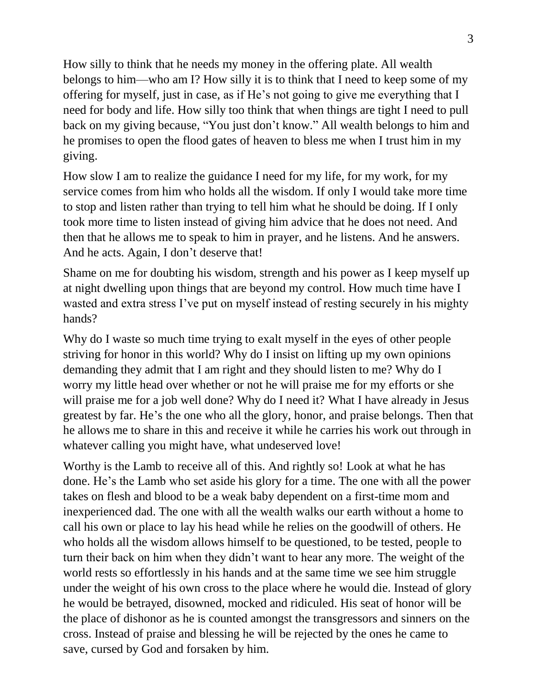How silly to think that he needs my money in the offering plate. All wealth belongs to him—who am I? How silly it is to think that I need to keep some of my offering for myself, just in case, as if He's not going to give me everything that I need for body and life. How silly too think that when things are tight I need to pull back on my giving because, "You just don't know." All wealth belongs to him and he promises to open the flood gates of heaven to bless me when I trust him in my giving.

How slow I am to realize the guidance I need for my life, for my work, for my service comes from him who holds all the wisdom. If only I would take more time to stop and listen rather than trying to tell him what he should be doing. If I only took more time to listen instead of giving him advice that he does not need. And then that he allows me to speak to him in prayer, and he listens. And he answers. And he acts. Again, I don't deserve that!

Shame on me for doubting his wisdom, strength and his power as I keep myself up at night dwelling upon things that are beyond my control. How much time have I wasted and extra stress I've put on myself instead of resting securely in his mighty hands?

Why do I waste so much time trying to exalt myself in the eyes of other people striving for honor in this world? Why do I insist on lifting up my own opinions demanding they admit that I am right and they should listen to me? Why do I worry my little head over whether or not he will praise me for my efforts or she will praise me for a job well done? Why do I need it? What I have already in Jesus greatest by far. He's the one who all the glory, honor, and praise belongs. Then that he allows me to share in this and receive it while he carries his work out through in whatever calling you might have, what undeserved love!

Worthy is the Lamb to receive all of this. And rightly so! Look at what he has done. He's the Lamb who set aside his glory for a time. The one with all the power takes on flesh and blood to be a weak baby dependent on a first-time mom and inexperienced dad. The one with all the wealth walks our earth without a home to call his own or place to lay his head while he relies on the goodwill of others. He who holds all the wisdom allows himself to be questioned, to be tested, people to turn their back on him when they didn't want to hear any more. The weight of the world rests so effortlessly in his hands and at the same time we see him struggle under the weight of his own cross to the place where he would die. Instead of glory he would be betrayed, disowned, mocked and ridiculed. His seat of honor will be the place of dishonor as he is counted amongst the transgressors and sinners on the cross. Instead of praise and blessing he will be rejected by the ones he came to save, cursed by God and forsaken by him.